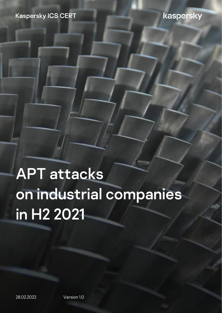#### **Kaspersky ICS CERT**

#### kaspersky

# APT attacks on industrial companies in H2 2021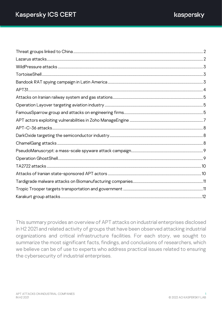This summary provides an overview of APT attacks on industrial enterprises disclosed in H2 2021 and related activity of groups that have been observed attacking industrial organizations and critical infrastructure facilities. For each story, we sought to summarize the most significant facts, findings, and conclusions of researchers, which we believe can be of use to experts who address practical issues related to ensuring the cybersecurity of industrial enterprises.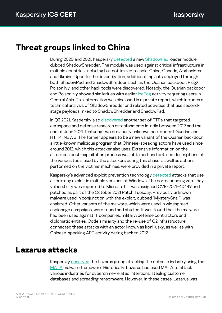#### <span id="page-2-0"></span>**Threat groups linked to China**

During 2020 and 2021, Kaspersky [detected](https://securelist.com/apt-trends-report-q3-2021/104708/) a new [ShadowPad](https://securelist.com/shadowpad-in-corporate-networks/81432/) loader module, dubbed ShadowShredder. The module was used against critical infrastructure in multiple countries, including but not limited to India, China, Canada, Afghanistan, and Ukraine. Upon further investigation, additional implants deployed through both ShadowPad and ShadowShredder, such as the Quarian backdoor, PlugX, Poison Ivy, and other hack tools were discovered. Notably, the Quarian backdoor and Poison Ivy showed similarities with earlier *[IceFog](https://apt.securelist.com/apt/icefog)* activity targeting users in Central Asia. This information was disclosed in a private report, which includes a technical analysis of ShadowShredder and related activities that use secondstage payloads linked to ShadowShredder and ShadowPad.

In Q3 2021, Kaspersky also [discovered](https://securelist.com/apt-trends-report-q3-2021/104708/) another set of TTPs that targeted aerospace and defense research establishments in India between 2019 and the end of June 2021, featuring two previously unknown backdoors: LGuarian and HTTP NEWS. The former appears to be a new variant of the Quarian backdoor, a little-known malicious program that Chinese-speaking actors have used since around 2012, which this attacker also uses. Extensive information on the attacker's post-exploitation process was obtained, and detailed descriptions of the various tools used by the attackers during this phase, as well as actions performed on the victims' machines, were provided in a private report.

Kaspersky's advanced exploit prevention technology [detected](https://securelist.com/mysterysnail-attacks-with-windows-zero-day/104509/) attacks that use a zero-day exploit in multiple versions of Windows. The corresponding zero-day vulnerability was reported to Microsoft. It was assigned CVE-2021-40449 and patched as part of the October 2021 Patch Tuesday. Previously unknown malware used in conjunction with the exploit, dubbed "MysterySnail", was analyzed. Other variants of the malware, which were used in widespread espionage campaigns, were found and studied. It was found that the malware had been used against IT companies, military/defense contractors and diplomatic entities. Code similarity and the re-use of C2 infrastructure connected these attacks with an actor known as IronHusky, as well as with Chinese-speaking APT activity dating back to 2012.

#### <span id="page-2-1"></span>**Lazarus attacks**

Kaspersky [observed](https://securelist.com/apt-trends-report-q3-2021/104708/#southeast-asia-and-korean-peninsula) the Lazarus group attacking the defense industry using the [MATA](https://securelist.com/mata-multi-platform-targeted-malware-framework/97746/) malware framework. Historically, Lazarus had used MATA to attack various industries for cybercrime-related intentions: stealing customer databases and spreading ransomware. However, in these cases, Lazarus was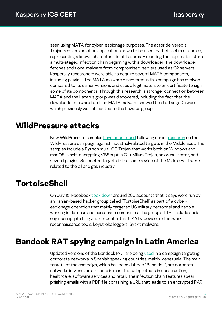seen using MATA for cyber-espionage purposes. The actor delivered a Trojanized version of an application known to be used by their victim of choice, representing a known characteristic of Lazarus. Executing the application starts a multi-staged infection chain beginning with a downloader. The downloader fetches additional malware from compromised servers used as C2 servers. Kaspersky researchers were able to acquire several MATA components, including plugins,. The MATA malware discovered in this campaign has evolved compared to its earlier versions and uses a legitimate, stolen certificate to sign some of its components. Through this research, a stronger connection between MATA and the Lazarus group was discovered, including the fact that the downloader malware fetching MATA malware showed ties to TangoDaiwbo, which previously was attributed to the Lazarus group.

#### <span id="page-3-0"></span>**WildPressure attacks**

New WildPressure samples [have been found](https://securelist.com/wildpressure-targets-macos/103072/) following earlier [research](https://securelist.com/wildpressure-targets-industrial-in-the-middle-east/96360/) on the WildPressure campaign against industrial-related targets in the Middle East. The samples include a Python multi-OS Trojan that works both on Windows and macOS, a self-decrypting VBScript, a C++ Milum Trojan, an orchestrator, and several plugins. Suspected targets in the same region of the Middle East were related to the oil and gas industry.

# <span id="page-3-1"></span>**TortoiseShell**

On July 15, Facebook [took down](https://about.fb.com/news/2021/07/taking-action-against-hackers-in-iran/) around 200 accounts that it says were run by an Iranian-based hacker group called "TortoiseShell" as part of a cyberespionage operation that mainly targeted US military personnel and people working in defense and aerospace companies. The group's TTPs include social engineering, phishing and credential theft, RATs, device and network reconnaissance tools, keystroke loggers, Syskit malware.

# <span id="page-3-2"></span>**Bandook RAT spying campaign in Latin America**

Updated versions of the Bandook RAT are being [used](https://www.welivesecurity.com/2021/07/07/bandidos-at-large-spying-campaign-latin-america/) in a campaign targeting corporate networks in Spanish speaking countries, mainly Venezuela. The main targets of the campaign, which has been dubbed "Bandidos", are corporate networks in Venezuela - some in manufacturing, others in construction, healthcare, software services and retail. The infection chain features spear phishing emails with a PDF file containing a URL that leads to an encrypted RAR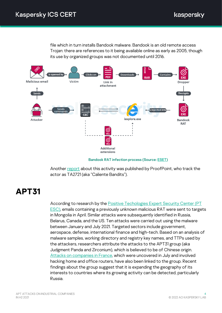file which in turn installs Bandook malware. Bandook is an old remote access Trojan: there are references to it being available online as early as 2005, though its use by organized groups was not documented until 2016.



Bandook RAT infection process (Source[: ESET\)](https://www.welivesecurity.com/2021/07/07/bandidos-at-large-spying-campaign-latin-america/)

Another [report](https://www.proofpoint.com/us/blog/threat-insight/new-threat-actor-uses-spanish-language-lures-distribute-seldom-observed-bandook) about this activity was published by ProofPoint, who track the actor as TA2721 (aka "Caliente Bandits").

## <span id="page-4-0"></span>**APT31**

According to research by the **Positive Techologies Expert Security Center (PT** [ESC\),](https://www.ptsecurity.com/ww-en/analytics/pt-esc-threat-intelligence/apt31-new-attacks/) emails containing a previously unknown malicious RAT were sent to targets in Mongolia in April. Similar attacks were subsequently identified in Russia, Belarus, Canada, and the US. Ten attacks were carried out using the malware between January and July 2021. Targeted sectors include government, aerospace, defense, international finance and high-tech. Based on an analysis of malware samples, working directory and registry key names, and TTPs used by the attackers, researchers attribute the attacks to the APT31 group (aka Judgment Panda and Zirconium), which is believed to be of Chinese origin. [Attacks on companies in France,](https://www.cert.ssi.gouv.fr/ioc/CERTFR-2021-IOC-003/) which were uncovered in July and involved hacking home and office routers, have also been linked to the group. Recent findings about the group suggest that it is expanding the geography of its interests to countries where its growing activity can be detected, particularly Russia.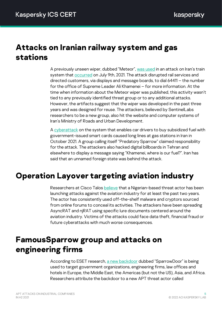#### <span id="page-5-0"></span>**Attacks on Iranian railway system and gas stations**

A previously unseen wiper, dubbed "Meteor", was [used](https://www.sentinelone.com/labs/meteorexpress-mysterious-wiper-paralyzes-iranian-trains-with-epic-troll/) in an attack on Iran's train system that **occurred** on July 9th, 2021. The attack disrupted rail services and directed customers, via displays and message boards, to dial 64411 – the number for the office of Supreme Leader Ali Khamenei – for more information. At the time when information about the Meteor wiper was published, this activity wasn't tied to any previously identified threat group or to any additional attacks. However, the artifacts suggest that the wiper was developed in the past three years and was designed for reuse. The attackers, believed by SentinelLabs researchers to be a new group, also hit the website and computer systems of Iran's Ministry of Roads and Urban Development.

A [cyberattack](https://www.bbc.com/news/world-middle-east-59062907) on the system that enables car drivers to buy subsidized fuel with government-issued smart cards caused long lines at gas stations in Iran in October 2021. A group calling itself "Predatory Sparrow" claimed responsibility for the attack. The attackers also hacked digital billboards in Tehran and elsewhere to display a message saying "Khamenei, where is our fuel?". Iran has said that an unnamed foreign state was behind the attack.

# <span id="page-5-1"></span>**Operation Layover targeting aviation industry**

Researchers at Cisco Talos [believe](https://blog.talosintelligence.com/2021/09/operation-layover-how-we-tracked-attack.html) that a Nigerian-based threat actor has been launching attacks against the aviation industry for at least the past two years. The actor has consistently used off-the-shelf malware and cryptors sourced from online forums to conceal its activities. The attackers have been spreading AsyncRAT and njRAT using specific lure documents centered around the aviation industry. Victims of the attacks could face data theft, financial fraud or future cyberattacks with much worse consequences.

# <span id="page-5-2"></span>**FamousSparrow group and attacks on engineering firms**

According to ESET research, a [new backdoor](https://www.welivesecurity.com/2021/09/23/famoussparrow-suspicious-hotel-guest/) dubbed "SparrowDoor" is being used to target government organizations, engineering firms, law offices and hotels in Europe, the Middle East, the Americas (but not the US), Asia, and Africa. Researchers attribute the backdoor to a new APT threat actor called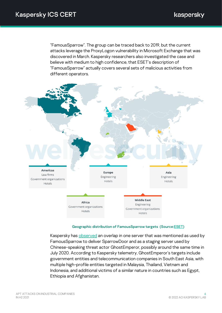"FamousSparrow". The group can be traced back to 2019, but the current attacks leverage the ProxyLogon vulnerability in Microsoft Exchange that was discovered in March. Kaspersky researchers also investigated the case and believe with medium to high confidence, that ESET's description of "FamousSparrow" actually covers several sets of malicious activities from different operators.



#### Geographic distribution of FamousSparrow targets (Sourc[e:ESET\)](https://www.welivesecurity.com/2021/09/23/famoussparrow-suspicious-hotel-guest/)

Kaspersky has [observed](https://securelist.com/ghostemperor-from-proxylogon-to-kernel-mode/104407/) an overlap in one server that was mentioned as used by FamousSparrow to deliver SparrowDoor and as a staging server used by Chinese-speaking threat actor GhostEmperor, possibly around the same time in July 2020. According to Kaspersky telemetry, GhostEmperor's targets include government entities and telecommunication companies in South East Asia, with multiple high-profile entities targeted in Malaysia, Thailand, Vietnam and Indonesia, and additional victims of a similar nature in countries such as Egypt, Ethiopia and Afghanistan.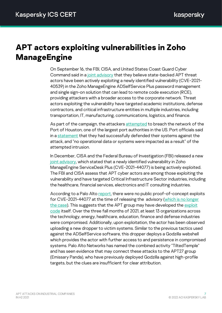# <span id="page-7-0"></span>**APT actors exploiting vulnerabilities in Zoho ManageEngine**

On September 16, the FBI, CISA, and United States Coast Guard Cyber Command said in [a joint advisory](https://us-cert.cisa.gov/ncas/alerts/aa21-259a) that they believe state-backed APT threat actors have been actively exploiting a newly identified vulnerability (CVE-2021- 40539) in the Zoho ManageEngine ADSelfService Plus password management and single sign-on solution that can lead to remote code execution (RCE), providing attackers with a broader access to the corporate network. Threat actors exploiting the vulnerability have targeted academic institutions, defense contractors, and critical infrastructure entities in multiple industries, including transportation, IT, manufacturing, communications, logistics, and finance.

As part of the campaign, the attacker[s attempted](https://therecord.media/state-sponsored-hacking-group-targets-port-of-houston-using-zoho-zero-day/) to breach the network of the Port of Houston, one of the largest port authorities in the US. Port officials said in [a statement](https://porthouston.com/wp-content/uploads/Port-Houston-Statement-_-Cybersecurity-Attack-Thwarted_-Sept-23-2021-_Final-.pdf) that they had successfully defended their systems against the attack, and "no operational data or systems were impacted as a result" of the attempted intrusion.

In December, CISA and the Federal Bureau of Investigation (FBI) released a new [joint advisory,](https://www.cisa.gov/uscert/ncas/alerts/aa21-336a) which stated that a newly identified vulnerability in Zoho ManageEngine ServiceDesk Plus (CVE-2021-44077) is being actively exploited. The FBI and CISA assess that APT cyber actors are among those exploiting the vulnerability and have targeted Critical Infrastructure Sector industries, including the healthcare, financial services, electronics and IT consulting industries.

According to a Palo Alto [report,](https://unit42.paloaltonetworks.com/tiltedtemple-manageengine-servicedesk-plus/) there were no public proof-of-concept exploits for CVE-2021-44077 at the time of releasing the advisory (which is no longer [the case\)](https://packetstormsecurity.com/files/165400/ManageEngine-ServiceDesk-Plus-Remote-Code-Execution.html). This suggests that the APT group may have developed the [exploit](https://packetstormsecurity.com/files/165400/ManageEngine-ServiceDesk-Plus-Remote-Code-Execution.html)  [code](https://packetstormsecurity.com/files/165400/ManageEngine-ServiceDesk-Plus-Remote-Code-Execution.html) itself. Over the three fall months of 2021, at least 13 organizations across the technology, energy, healthcare, education, finance and defense industries were compromised. Additionally, upon exploitation, the actor has been observed uploading a new dropper to victim systems. Similar to the previous tactics used against the ADSelfService software, this dropper deploys a Godzilla webshell which provides the actor with further access to and persistence in compromised systems. Palo Alto Networks has named the combined activity "TiltedTemple" and has seen evidence that may connect these attacks to the APT27 group (Emissary Panda), who have previously deployed Godzilla against high-profile targets, but the clues are insufficient for clear attribution.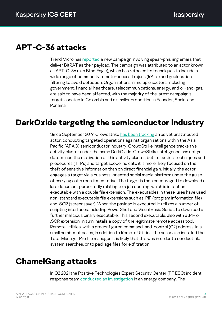#### <span id="page-8-0"></span>**APT-C-36 attacks**

i

Trend Micro ha[s reported](https://www.trendmicro.com/en_us/research/21/i/apt-c-36-updates-its-long-term-spam-campaign-against-south-ameri.html) a new campaign involving spear-phishing emails that deliver BitRAT as their payload. The campaign was attributed to an actor known as APT-C-36 (aka Blind Eagle), which has retooled its techniques to include a wide range of commodity remote-access Trojans (RATs) and geolocation filtering to avoid detection. Organizations in multiple sectors, including government, financial, healthcare, telecommunications, energy, and oil-and-gas, are said to have been affected, with the majority of the latest campaign's targets located in Colombia and a smaller proportion in Ecuador, Spain, and Panama.

# <span id="page-8-1"></span>**DarkOxide targeting the semiconductor industry**

Since September 2019, Crowdstrike [has been tracking](https://www.crowdstrike.com/blog/darkoxide-technical-analysis/) an as yet unattributed actor, conducting targeted operations against organizations within the Asia Pacific (APAC) semiconductor industry. CrowdStrike Intelligence tracks this activity cluster under the name DarkOxide. CrowdStrike Intelligence has not yet determined the motivation of this activity cluster, but its tactics, techniques and procedures (TTPs) and target scope indicate it is more likely focused on the theft of sensitive information than on direct financial gain. Initially, the actor engages a target via a business-oriented social media platform under the guise of carrying out a recruitment drive. The target is then encouraged to download a lure document purportedly relating to a job opening, which is in fact an executable with a double file extension. The executables in these lures have used non-standard executable file extensions such as .PIF (program information file) and .SCR (screensaver). When the payload is executed, it utilizes a number of scripting interfaces, including PowerShell and Visual Basic Script, to download a further malicious binary executable. This second executable, also with a .PIF or .SCR extension, in turn installs a copy of the legitimate remote access tool, Remote Utilities, with a preconfigured command-and-control (C2) address. In a small number of cases, in addition to Remote Utilities, the actor also installed the Total Manager Pro file manager. It is likely that this was in order to conduct file system searches, or to package files for exfiltration.

#### <span id="page-8-2"></span>**ChamelGang attacks**

In Q2 2021 the Positive Technologies Expert Security Center (PT ESC) incident response team **conducted an investigation** in an energy company. The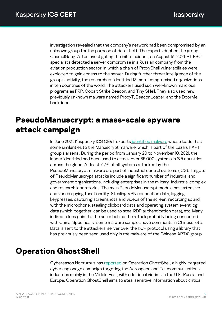investigation revealed that the company's network had been compromised by an unknown group for the purpose of data theft. The experts dubbed the group ChamelGang. After investigating the initial incident, on August 16, 2021, PT ESC specialists detected a server compromise in a Russian company from the aviation production sector, in which a chain of ProxyShell vulnerabilities were exploited to gain access to the server. During further threat intelligence of the group's activity, the researchers identified 13 more compromised organizations in ten countries of the world. The attackers used such well-known malicious programs as FRP, Cobalt Strike Beacon, and Tiny SHell. They also used new, previously unknown malware named ProxyT, BeaconLoader, and the DoorMe backdoor.

# <span id="page-9-0"></span>**PseudoManuscrypt: a mass-scale spyware attack campaign**

In June 2021, Kaspersky ICS CERT experts [identified malware](https://ics-cert.kaspersky.com/publications/reports/2021/12/16/pseudomanuscrypt-a-mass-scale-spyware-attack-campaign/) whose loader has some similarities to the Manuscrypt malware, which is part of the Lazarus APT group's arsenal. During the period from January 20 to November 10, 2021, the loader identified had been used to attack over 35,000 systems in 195 countries across the globe. At least 7.2% of all systems attacked by the PseudoManuscrypt malware are part of industrial control systems (ICS). Targets of PseudoManuscrypt attacks include a significant number of industrial and government organizations, including enterprises in the military-industrial complex and research laboratories. The main PseudoManuscrypt module has extensive and varied spying functionality. Stealing VPN connection data, logging keypresses, capturing screenshots and videos of the screen, recording sound with the microphone, stealing clipboard data and operating system event log data (which, together, can be used to steal RDP authentication data), etc. Many indirect clues point to the actor behind the attack probably being connected with China. Specifically, some malware samples have comments in Chinese, etc. Data is sent to the attackers' server over the KCP protocol using a library that has previously been seen used only in the malware of the Chinese APT41 group.

## <span id="page-9-1"></span>**Operation GhostShell**

Cybereason Nocturnus has [reported](https://www.cybereason.com/blog/operation-ghostshell-novel-rat-targets-global-aerospace-and-telecoms-firms) on Operation GhostShell, a highly-targeted cyber espionage campaign targeting the Aerospace and Telecommunications industries mainly in the Middle East, with additional victims in the U.S., Russia and Europe. Operation GhostShell aims to steal sensitive information about critical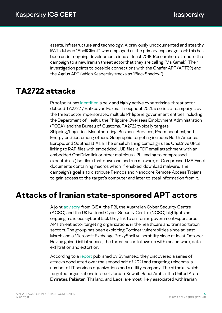assets, infrastructure and technology. A previously undocumented and stealthy RAT, dubbed "ShellClient", was employed as the primary espionage tool: this has been under ongoing development since at least 2018. Researchers attribute the campaign to a new Iranian threat actor that they are calling "MalKamak". Their investigation points to possible connections with the Chafer APT (APT39) and the Agrius APT (which Kaspersky tracks as "BlackShadow").

#### <span id="page-10-0"></span>**TA2722 attacks**

Proofpoint has [identified](https://www.proofpoint.com/us/blog/threat-insight/new-threat-actor-spoofs-philippine-government-covid-19-health-data-widespread) a new and highly active cybercriminal threat actor dubbed TA2722 / Balikbayan Foxes. Throughout 2021, a series of campaigns by the threat actor impersonated multiple Philippine government entities including the Department of Health, the Philippine Overseas Employment Administration (POEA), and the Bureau of Customs. TA2722 typically targets Shipping/Logistics, Manufacturing, Business Services, Pharmaceutical, and Energy entities, among others. Geographic targeting includes North America, Europe, and Southeast Asia. The email phishing campaign uses OneDrive URLs linking to RAR files with embedded UUE files, a PDF email attachment with an embedded OneDrive link or other malicious URL leading to compressed executables (.iso files) that download and run malware, or Compressed MS Excel documents containing macros which, if enabled, download malware. The campaign's goal is to distribute Remcos and Nanocore Remote Access Trojans to gain access to the target's computer and later to steal information from it.

## <span id="page-10-1"></span>**Attacks of Iranian state-sponsored APT actors**

A join[t advisory](https://www.cisa.gov/uscert/ncas/alerts/aa21-321a) from CISA, the FBI, the Australian Cyber Security Centre (ACSC) and the UK National Cyber Security Centre (NCSC) highlights an ongoing malicious cyberattack they link to an Iranian government-sponsored APT threat actor targeting organizations in the healthcare and transportation sectors. The group has been exploiting Fortinet vulnerabilities since at least March and a Microsoft Exchange ProxyShell vulnerability since at least October. Having gained initial access, the threat actor follows up with ransomware, data exfiltration and extortion.

According to a [report](https://symantec-enterprise-blogs.security.com/blogs/threat-intelligence/espionage-campaign-telecoms-asia-middle-east) published by Symantec, they discovered a series of attacks conducted over the second half of 2021 and targeting telecoms, a number of IT services organizations and a utility company. The attacks, which targeted organizations in Israel, Jordan, Kuwait, Saudi Arabia, the United Arab Emirates, Pakistan, Thailand, and Laos, are most likely associated with Iranian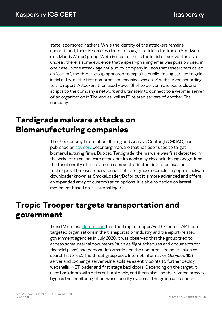state-sponsored hackers. While the identity of the attackers remains unconfirmed, there is some evidence to suggest a link to the Iranian Seedworm (aka MuddyWater) group. While in most attacks the initial attack vector is yet unclear, there is some evidence that a spear-phishing email was possibly used in one case. In one attack against a utility company in Laos that researchers called an "outlier", the threat group appeared to exploit a public-facing service to gain initial entry, as the first compromised machine was an IIS web server, according to the report. Attackers then used PowerShell to deliver malicious tools and scripts to the company's network and ultimately to connect to a webmail server of an organization in Thailand as well as IT-related servers of another Thai company.

# <span id="page-11-0"></span>**Tardigrade malware attacks on Biomanufacturing companies**

The Bioeconomy Information Sharing and Analysis Center (BIO-ISAC) has published an [advisory](https://www.isac.bio/post/tardigrade) describing malware that has been used to target biomanufacturing firms. Dubbed Tardigrade, the malware was first detected in the wake of a ransomware attack but its goals may also include espionage. It has the functionality of a Trojan and uses sophisticated detection evasion techniques. The researchers found that Tardigrade resembles a popular malware downloader known as SmokeLoader/Dofoil but it is more advanced and offers an expanded array of customization options. It is able to decide on lateral movement based on its internal logic.

# <span id="page-11-1"></span>**Tropic Trooper targets transportation and government**

Trend Micro has [determined](https://www.trendmicro.com/en_us/research/21/l/collecting-in-the-dark-tropic-trooper-targets-transportation-and-government-organizations.html) that the TropicTrooper/Earth Centaur APT actor targeted organizations in the transportation industry and transport-related government agencies in July 2020. It was observed that the group tried to access some internal documents (such as flight schedules and documents for financial plans) and personal information on the compromised hosts (such as search histories). The threat group used Internet Information Services (IIS) server and Exchange server vulnerabilities as entry points to further deploy webshells, .NET loader and first stage backdoors. Depending on the target, it uses backdoors with different protocols, and it can also use the reverse proxy to bypass the monitoring of network security systems. The group uses open-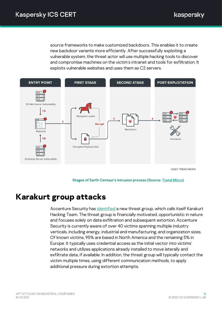source frameworks to make customized backdoors. This enables it to create new backdoor variants more efficiently. After successfully exploiting a vulnerable system, the threat actor will use multiple hacking tools to discover and compromise machines on the victim's intranet and tools for exfiltration. It exploits vulnerable websites and uses them as C2 servers.



©2021 TREND MICRO

Stages of Earth Centaur's intrusion process (Source: [Trend Micro\)](https://www.trendmicro.com/en_us/research/21/l/collecting-in-the-dark-tropic-trooper-targets-transportation-and-government-organizations.html)

#### <span id="page-12-0"></span>**Karakurt group attacks**

Accenture Security has [identified](https://www.accenture.com/us-en/blogs/cyber-defense/karakurt-threat-mitigation) a new threat group, which calls itself Karakurt Hacking Team. The threat group is financially motivated, opportunistic in nature and focuses solely on data exfiltration and subsequent extortion. Accenture Security is currently aware of over 40 victims spanning multiple industry verticals, including energy, industrial and manufacturing, and organization sizes. Of known victims, 95% are based in North America and the remaining 5% in Europe. It typically uses credential access as the initial vector into victims' networks and utilizes applications already installed to move laterally and exfiltrate data, if available. In addition, the threat group will typically contact the victim multiple times, using different communication methods, to apply additional pressure during extortion attempts.